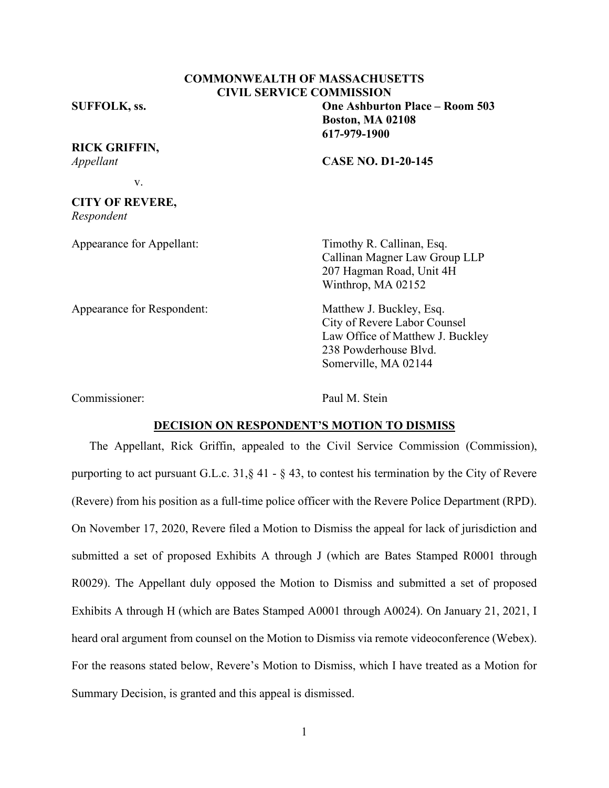## **COMMONWEALTH OF MASSACHUSETTS CIVIL SERVICE COMMISSION**

### **SUFFOLK, ss. One Ashburton Place – Room 503**

**RICK GRIFFIN,** *Appellant* **CASE NO. D1-20-145**

**Boston, MA 02108 617-979-1900**

v.

# **CITY OF REVERE,**

*Respondent*

Appearance for Appellant: Timothy R. Callinan, Esq.

Callinan Magner Law Group LLP 207 Hagman Road, Unit 4H Winthrop, MA 02152

Appearance for Respondent: Matthew J. Buckley, Esq. City of Revere Labor Counsel Law Office of Matthew J. Buckley 238 Powderhouse Blvd. Somerville, MA 02144

Commissioner: Paul M. Stein

#### **DECISION ON RESPONDENT'S MOTION TO DISMISS**

The Appellant, Rick Griffin, appealed to the Civil Service Commission (Commission), purporting to act pursuant G.L.c. 31,§ 41 - § 43, to contest his termination by the City of Revere (Revere) from his position as a full-time police officer with the Revere Police Department (RPD). On November 17, 2020, Revere filed a Motion to Dismiss the appeal for lack of jurisdiction and submitted a set of proposed Exhibits A through J (which are Bates Stamped R0001 through R0029). The Appellant duly opposed the Motion to Dismiss and submitted a set of proposed Exhibits A through H (which are Bates Stamped A0001 through A0024). On January 21, 2021, I heard oral argument from counsel on the Motion to Dismiss via remote videoconference (Webex). For the reasons stated below, Revere's Motion to Dismiss, which I have treated as a Motion for Summary Decision, is granted and this appeal is dismissed.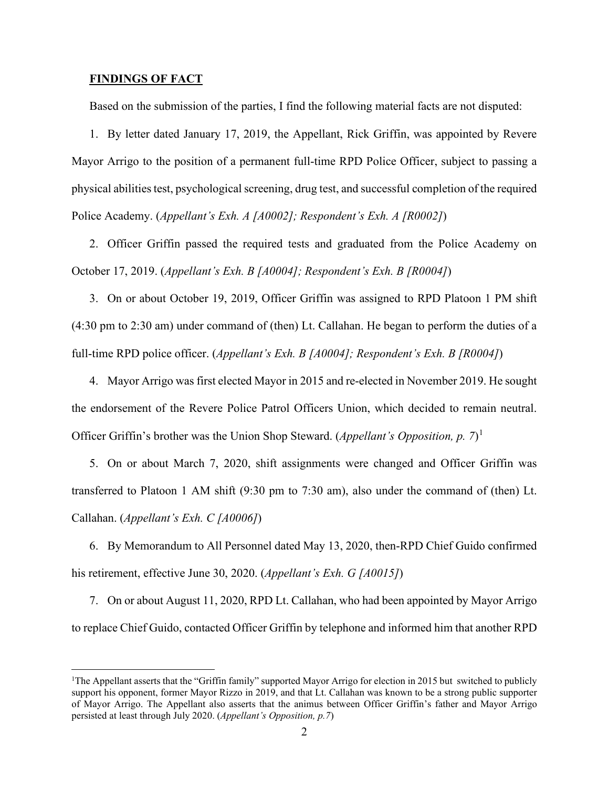#### **FINDINGS OF FACT**

Based on the submission of the parties, I find the following material facts are not disputed:

1. By letter dated January 17, 2019, the Appellant, Rick Griffin, was appointed by Revere Mayor Arrigo to the position of a permanent full-time RPD Police Officer, subject to passing a physical abilities test, psychological screening, drug test, and successful completion of the required Police Academy. (*Appellant's Exh. A [A0002]; Respondent's Exh. A [R0002]*)

2. Officer Griffin passed the required tests and graduated from the Police Academy on October 17, 2019. (*Appellant's Exh. B [A0004]; Respondent's Exh. B [R0004]*)

3. On or about October 19, 2019, Officer Griffin was assigned to RPD Platoon 1 PM shift (4:30 pm to 2:30 am) under command of (then) Lt. Callahan. He began to perform the duties of a full-time RPD police officer. (*Appellant's Exh. B [A0004]; Respondent's Exh. B [R0004]*)

4. Mayor Arrigo was first elected Mayor in 2015 and re-elected in November 2019. He sought the endorsement of the Revere Police Patrol Officers Union, which decided to remain neutral. Officer Griffin's brother was the Union Shop Steward. (*Appellant's Opposition, p. 7*) [1](#page-1-0)

5. On or about March 7, 2020, shift assignments were changed and Officer Griffin was transferred to Platoon 1 AM shift (9:30 pm to 7:30 am), also under the command of (then) Lt. Callahan. (*Appellant's Exh. C [A0006]*)

6. By Memorandum to All Personnel dated May 13, 2020, then-RPD Chief Guido confirmed his retirement, effective June 30, 2020. (*Appellant's Exh. G [A0015]*)

7. On or about August 11, 2020, RPD Lt. Callahan, who had been appointed by Mayor Arrigo to replace Chief Guido, contacted Officer Griffin by telephone and informed him that another RPD

<span id="page-1-0"></span><sup>&</sup>lt;sup>1</sup>The Appellant asserts that the "Griffin family" supported Mayor Arrigo for election in 2015 but switched to publicly support his opponent, former Mayor Rizzo in 2019, and that Lt. Callahan was known to be a strong public supporter of Mayor Arrigo. The Appellant also asserts that the animus between Officer Griffin's father and Mayor Arrigo persisted at least through July 2020. (*Appellant's Opposition, p.7*)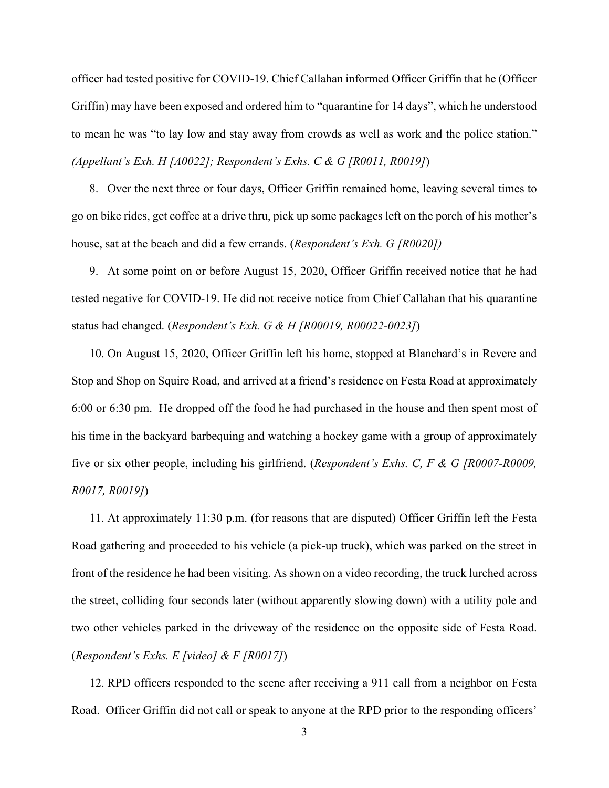officer had tested positive for COVID-19. Chief Callahan informed Officer Griffin that he (Officer Griffin) may have been exposed and ordered him to "quarantine for 14 days", which he understood to mean he was "to lay low and stay away from crowds as well as work and the police station." *(Appellant's Exh. H [A0022]; Respondent's Exhs. C & G [R0011, R0019]*)

8. Over the next three or four days, Officer Griffin remained home, leaving several times to go on bike rides, get coffee at a drive thru, pick up some packages left on the porch of his mother's house, sat at the beach and did a few errands. (*Respondent's Exh. G [R0020])*

9. At some point on or before August 15, 2020, Officer Griffin received notice that he had tested negative for COVID-19. He did not receive notice from Chief Callahan that his quarantine status had changed. (*Respondent's Exh. G & H [R00019, R00022-0023]*)

10. On August 15, 2020, Officer Griffin left his home, stopped at Blanchard's in Revere and Stop and Shop on Squire Road, and arrived at a friend's residence on Festa Road at approximately 6:00 or 6:30 pm. He dropped off the food he had purchased in the house and then spent most of his time in the backyard barbequing and watching a hockey game with a group of approximately five or six other people, including his girlfriend. (*Respondent's Exhs. C, F & G [R0007-R0009, R0017, R0019]*)

11. At approximately 11:30 p.m. (for reasons that are disputed) Officer Griffin left the Festa Road gathering and proceeded to his vehicle (a pick-up truck), which was parked on the street in front of the residence he had been visiting. As shown on a video recording, the truck lurched across the street, colliding four seconds later (without apparently slowing down) with a utility pole and two other vehicles parked in the driveway of the residence on the opposite side of Festa Road. (*Respondent's Exhs. E [video] & F [R0017]*)

12. RPD officers responded to the scene after receiving a 911 call from a neighbor on Festa Road. Officer Griffin did not call or speak to anyone at the RPD prior to the responding officers'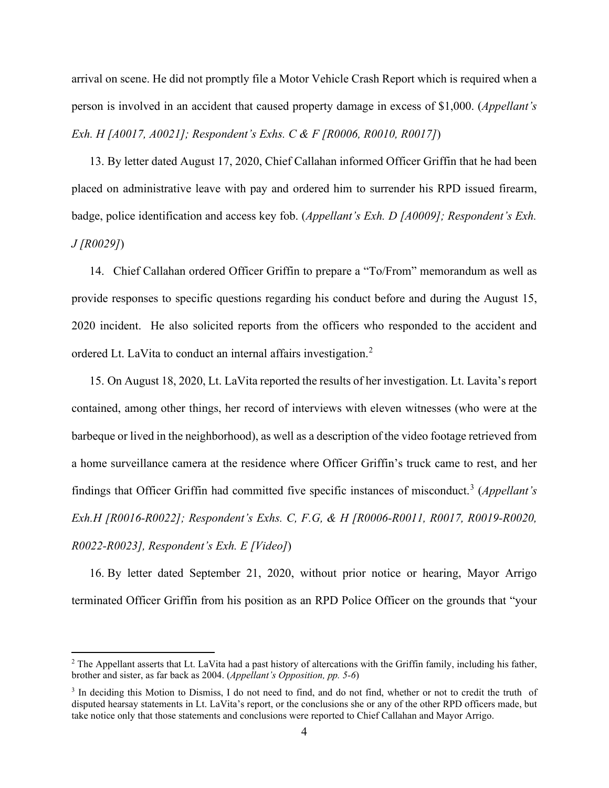arrival on scene. He did not promptly file a Motor Vehicle Crash Report which is required when a person is involved in an accident that caused property damage in excess of \$1,000. (*Appellant's Exh. H [A0017, A0021]; Respondent's Exhs. C & F [R0006, R0010, R0017]*)

13. By letter dated August 17, 2020, Chief Callahan informed Officer Griffin that he had been placed on administrative leave with pay and ordered him to surrender his RPD issued firearm, badge, police identification and access key fob. (*Appellant's Exh. D [A0009]; Respondent's Exh. J [R0029]*)

14. Chief Callahan ordered Officer Griffin to prepare a "To/From" memorandum as well as provide responses to specific questions regarding his conduct before and during the August 15, 2020 incident. He also solicited reports from the officers who responded to the accident and ordered Lt. LaVita to conduct an internal affairs investigation.[2](#page-3-0)

15. On August 18, 2020, Lt. LaVita reported the results of her investigation. Lt. Lavita's report contained, among other things, her record of interviews with eleven witnesses (who were at the barbeque or lived in the neighborhood), as well as a description of the video footage retrieved from a home surveillance camera at the residence where Officer Griffin's truck came to rest, and her findings that Officer Griffin had committed five specific instances of misconduct. [3](#page-3-1) (*Appellant's Exh.H [R0016-R0022]; Respondent's Exhs. C, F.G, & H [R0006-R0011, R0017, R0019-R0020, R0022-R0023], Respondent's Exh. E [Video]*)

16. By letter dated September 21, 2020, without prior notice or hearing, Mayor Arrigo terminated Officer Griffin from his position as an RPD Police Officer on the grounds that "your

<span id="page-3-0"></span> $<sup>2</sup>$  The Appellant asserts that Lt. LaVita had a past history of altercations with the Griffin family, including his father,</sup> brother and sister, as far back as 2004. (*Appellant's Opposition, pp. 5-6*)

<span id="page-3-1"></span><sup>&</sup>lt;sup>3</sup> In deciding this Motion to Dismiss, I do not need to find, and do not find, whether or not to credit the truth of disputed hearsay statements in Lt. LaVita's report, or the conclusions she or any of the other RPD officers made, but take notice only that those statements and conclusions were reported to Chief Callahan and Mayor Arrigo.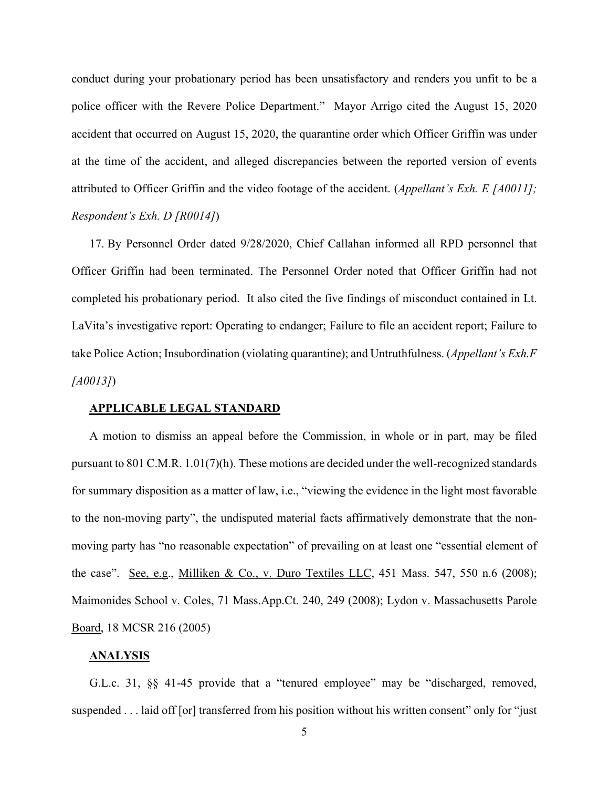conduct during your probationary period has been unsatisfactory and renders you unfit to be a police officer with the Revere Police Department." Mayor Arrigo cited the August 15, 2020 accident that occurred on August 15, 2020, the quarantine order which Officer Griffin was under at the time of the accident, and alleged discrepancies between the reported version of events attributed to Officer Griffin and the video footage of the accident. (*Appellant's Exh. E [A0011]; Respondent's Exh. D [R0014]*)

17. By Personnel Order dated 9/28/2020, Chief Callahan informed all RPD personnel that Officer Griffin had been terminated. The Personnel Order noted that Officer Griffin had not completed his probationary period. It also cited the five findings of misconduct contained in Lt. LaVita's investigative report: Operating to endanger; Failure to file an accident report; Failure to take Police Action; Insubordination (violating quarantine); and Untruthfulness. (*Appellant's Exh.F [A0013]*)

#### **APPLICABLE LEGAL STANDARD**

A motion to dismiss an appeal before the Commission, in whole or in part, may be filed pursuant to 801 C.M.R. 1.01(7)(h). These motions are decided under the well-recognized standards for summary disposition as a matter of law, i.e., "viewing the evidence in the light most favorable to the non-moving party", the undisputed material facts affirmatively demonstrate that the nonmoving party has "no reasonable expectation" of prevailing on at least one "essential element of the case". See, e.g., Milliken & Co., v. Duro Textiles LLC, 451 Mass. 547, 550 n.6 (2008); Maimonides School v. Coles, 71 Mass.App.Ct. 240, 249 (2008); Lydon v. Massachusetts Parole Board, 18 MCSR 216 (2005)

#### **ANALYSIS**

G.L.c. 31, §§ 41-45 provide that a "tenured employee" may be "discharged, removed, suspended . . . laid off [or] transferred from his position without his written consent" only for "just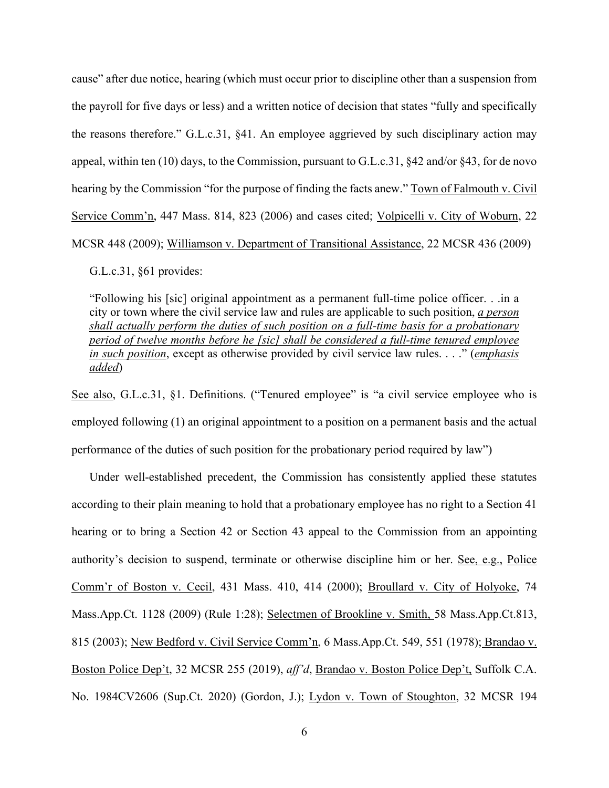cause" after due notice, hearing (which must occur prior to discipline other than a suspension from the payroll for five days or less) and a written notice of decision that states "fully and specifically the reasons therefore." G.L.c.31, §41. An employee aggrieved by such disciplinary action may appeal, within ten (10) days, to the Commission, pursuant to G.L.c.31, §42 and/or §43, for de novo hearing by the Commission "for the purpose of finding the facts anew." Town of Falmouth v. Civil Service Comm'n, 447 Mass. 814, 823 (2006) and cases cited; Volpicelli v. City of Woburn, 22 MCSR 448 (2009); Williamson v. Department of Transitional Assistance, 22 MCSR 436 (2009)

G.L.c.31, §61 provides:

"Following his [sic] original appointment as a permanent full-time police officer. . .in a city or town where the civil service law and rules are applicable to such position, *a person shall actually perform the duties of such position on a full-time basis for a probationary period of twelve months before he [sic] shall be considered a full-time tenured employee in such position*, except as otherwise provided by civil service law rules. . . ." (*emphasis added*)

See also, G.L.c.31, §1. Definitions. ("Tenured employee" is "a civil service employee who is employed following (1) an original appointment to a position on a permanent basis and the actual performance of the duties of such position for the probationary period required by law")

Under well-established precedent, the Commission has consistently applied these statutes according to their plain meaning to hold that a probationary employee has no right to a Section 41 hearing or to bring a Section 42 or Section 43 appeal to the Commission from an appointing authority's decision to suspend, terminate or otherwise discipline him or her. See, e.g., Police Comm'r of Boston v. Cecil, 431 Mass. 410, 414 (2000); Broullard v. City of Holyoke, 74 Mass.App.Ct. 1128 (2009) (Rule 1:28); Selectmen of Brookline v. Smith, 58 Mass.App.Ct.813, 815 (2003); New Bedford v. Civil Service Comm'n, 6 Mass.App.Ct. 549, 551 (1978); Brandao v. Boston Police Dep't, 32 MCSR 255 (2019), *aff'd*, Brandao v. Boston Police Dep't, Suffolk C.A. No. 1984CV2606 (Sup.Ct. 2020) (Gordon, J.); Lydon v. Town of Stoughton, 32 MCSR 194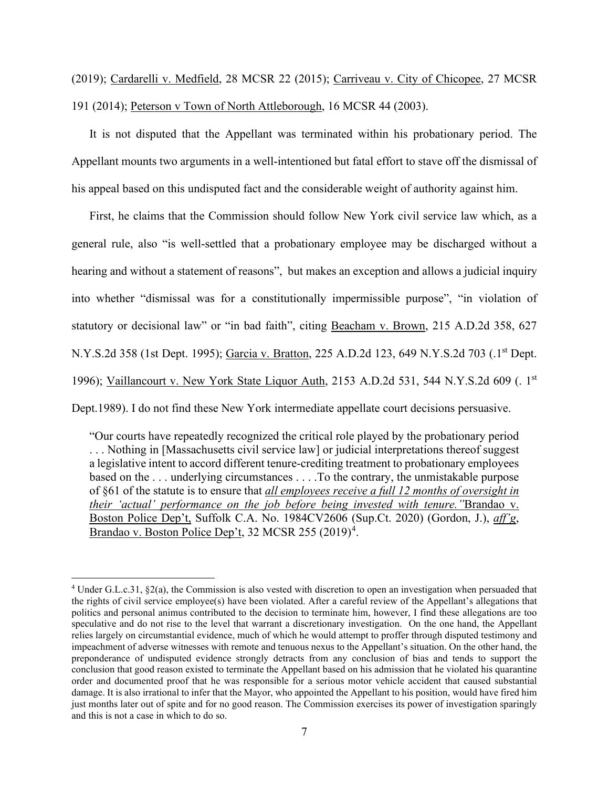(2019); Cardarelli v. Medfield, 28 MCSR 22 (2015); Carriveau v. City of Chicopee, 27 MCSR 191 (2014); Peterson v Town of North Attleborough, 16 MCSR 44 (2003).

It is not disputed that the Appellant was terminated within his probationary period. The Appellant mounts two arguments in a well-intentioned but fatal effort to stave off the dismissal of his appeal based on this undisputed fact and the considerable weight of authority against him.

First, he claims that the Commission should follow New York civil service law which, as a general rule, also "is well-settled that a probationary employee may be discharged without a hearing and without a statement of reasons", but makes an exception and allows a judicial inquiry into whether "dismissal was for a constitutionally impermissible purpose", "in violation of statutory or decisional law" or "in bad faith", citing Beacham v. Brown, 215 A.D.2d 358, 627 N.Y.S.2d 358 (1st Dept. 1995); Garcia v. Bratton, 225 A.D.2d 123, 649 N.Y.S.2d 703 (.1<sup>st</sup> Dept. 1996); Vaillancourt v. New York State Liquor Auth, 2153 A.D.2d 531, 544 N.Y.S.2d 609 (. 1st Dept.1989). I do not find these New York intermediate appellate court decisions persuasive.

"Our courts have repeatedly recognized the critical role played by the probationary period . . . Nothing in [Massachusetts civil service law] or judicial interpretations thereof suggest a legislative intent to accord different tenure-crediting treatment to probationary employees based on the . . . underlying circumstances . . . .To the contrary, the unmistakable purpose of §61 of the statute is to ensure that *all employees receive a full 12 months of oversight in their 'actual' performance on the job before being invested with tenure."*Brandao v. Boston Police Dep't, Suffolk C.A. No. 1984CV2606 (Sup.Ct. 2020) (Gordon, J.), *aff'g*, Brandao v. Boston Police Dep't, 32 MCSR 255 (2019)<sup>[4](#page-6-0)</sup>.

<span id="page-6-0"></span><sup>4</sup> Under G.L.c.31, §2(a), the Commission is also vested with discretion to open an investigation when persuaded that the rights of civil service employee(s) have been violated. After a careful review of the Appellant's allegations that politics and personal animus contributed to the decision to terminate him, however, I find these allegations are too speculative and do not rise to the level that warrant a discretionary investigation. On the one hand, the Appellant relies largely on circumstantial evidence, much of which he would attempt to proffer through disputed testimony and impeachment of adverse witnesses with remote and tenuous nexus to the Appellant's situation. On the other hand, the preponderance of undisputed evidence strongly detracts from any conclusion of bias and tends to support the conclusion that good reason existed to terminate the Appellant based on his admission that he violated his quarantine order and documented proof that he was responsible for a serious motor vehicle accident that caused substantial damage. It is also irrational to infer that the Mayor, who appointed the Appellant to his position, would have fired him just months later out of spite and for no good reason. The Commission exercises its power of investigation sparingly and this is not a case in which to do so.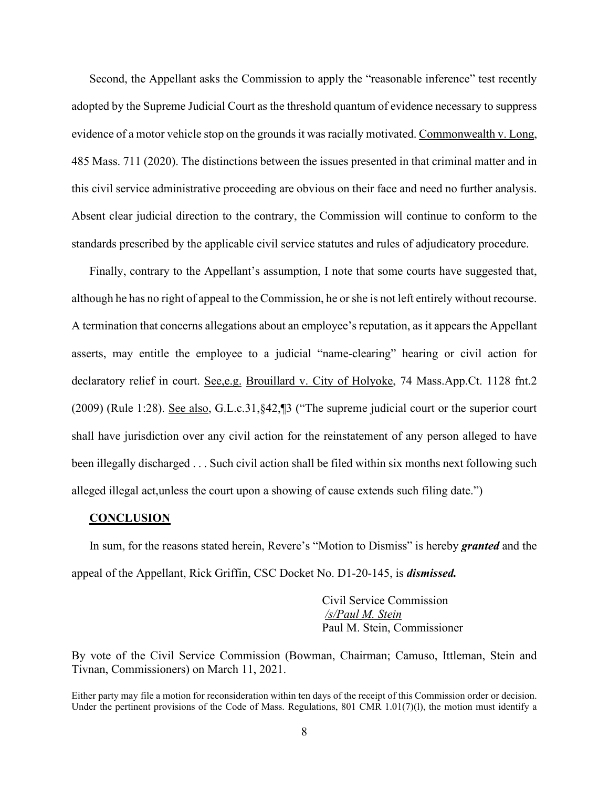Second, the Appellant asks the Commission to apply the "reasonable inference" test recently adopted by the Supreme Judicial Court as the threshold quantum of evidence necessary to suppress evidence of a motor vehicle stop on the grounds it was racially motivated. Commonwealth v. Long, 485 Mass. 711 (2020). The distinctions between the issues presented in that criminal matter and in this civil service administrative proceeding are obvious on their face and need no further analysis. Absent clear judicial direction to the contrary, the Commission will continue to conform to the standards prescribed by the applicable civil service statutes and rules of adjudicatory procedure.

Finally, contrary to the Appellant's assumption, I note that some courts have suggested that, although he has no right of appeal to the Commission, he or she is not left entirely without recourse. A termination that concerns allegations about an employee's reputation, as it appears the Appellant asserts, may entitle the employee to a judicial "name-clearing" hearing or civil action for declaratory relief in court. See, e.g. Brouillard v. City of Holyoke, 74 Mass.App.Ct. 1128 fnt.2 (2009) (Rule 1:28). See also, G.L.c.31,§42,¶3 ("The supreme judicial court or the superior court shall have jurisdiction over any civil action for the reinstatement of any person alleged to have been illegally discharged . . . Such civil action shall be filed within six months next following such alleged illegal act,unless the court upon a showing of cause extends such filing date.")

#### **CONCLUSION**

In sum, for the reasons stated herein, Revere's "Motion to Dismiss" is hereby *granted* and the appeal of the Appellant, Rick Griffin, CSC Docket No. D1-20-145, is *dismissed.*

> Civil Service Commission */s/Paul M. Stein*  Paul M. Stein, Commissioner

By vote of the Civil Service Commission (Bowman, Chairman; Camuso, Ittleman, Stein and Tivnan, Commissioners) on March 11, 2021.

Either party may file a motion for reconsideration within ten days of the receipt of this Commission order or decision. Under the pertinent provisions of the Code of Mass. Regulations, 801 CMR 1.01(7)(1), the motion must identify a